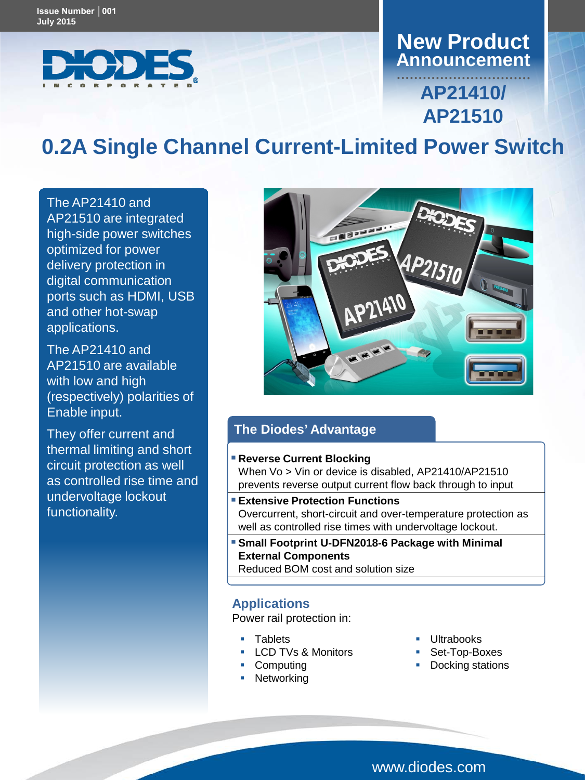

# **Announcement New Product**

# **AP21410/ AP21510**

# **0.2A Single Channel Current-Limited Power Switch**

The AP21410 and AP21510 are integrated high-side power switches optimized for power delivery protection in digital communication ports such as HDMI, USB and other hot-swap applications.

The AP21410 and AP21510 are available with low and high (respectively) polarities of Enable input.

They offer current and thermal limiting and short circuit protection as well as controlled rise time and undervoltage lockout functionality.



## **The Diodes' Advantage**

#### **Reverse Current Blocking**

When Vo > Vin or device is disabled, AP21410/AP21510 prevents reverse output current flow back through to input

- **Extensive Protection Functions** Overcurrent, short-circuit and over-temperature protection as well as controlled rise times with undervoltage lockout.
- **Small Footprint U-DFN2018-6 Package with Minimal External Components** Reduced BOM cost and solution size

### **Applications**

Power rail protection in:

- **Tablets**
- **LCD TVs & Monitors**
- Computing
- Networking
- **Ultrabooks**
- Set-Top-Boxes
- Docking stations

www.diodes.com